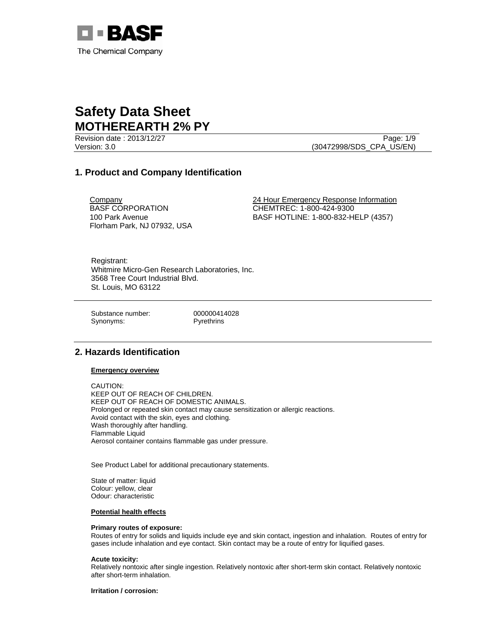

Revision date : 2013/12/27 Page: 1/9 Version: 3.0 (30472998/SDS\_CPA\_US/EN)

# **1. Product and Company Identification**

**Company** BASF CORPORATION 100 Park Avenue Florham Park, NJ 07932, USA 24 Hour Emergency Response Information CHEMTREC: 1-800-424-9300 BASF HOTLINE: 1-800-832-HELP (4357)

Registrant: Whitmire Micro-Gen Research Laboratories, Inc. 3568 Tree Court Industrial Blvd. St. Louis, MO 63122

Substance number: 000000414028 Synonyms: Pyrethrins

# **2. Hazards Identification**

### **Emergency overview**

CAUTION: KEEP OUT OF REACH OF CHILDREN. KEEP OUT OF REACH OF DOMESTIC ANIMALS. Prolonged or repeated skin contact may cause sensitization or allergic reactions. Avoid contact with the skin, eyes and clothing. Wash thoroughly after handling. Flammable Liquid Aerosol container contains flammable gas under pressure.

See Product Label for additional precautionary statements.

State of matter: liquid Colour: yellow, clear Odour: characteristic

### **Potential health effects**

### **Primary routes of exposure:**

Routes of entry for solids and liquids include eye and skin contact, ingestion and inhalation. Routes of entry for gases include inhalation and eye contact. Skin contact may be a route of entry for liquified gases.

### **Acute toxicity:**

Relatively nontoxic after single ingestion. Relatively nontoxic after short-term skin contact. Relatively nontoxic after short-term inhalation.

**Irritation / corrosion:**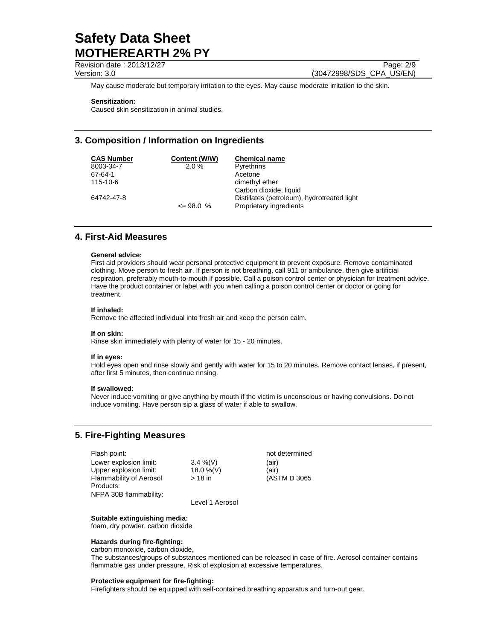Revision date : 2013/12/27 Page: 2/9

Version: 3.0 (30472998/SDS\_CPA\_US/EN)

May cause moderate but temporary irritation to the eyes. May cause moderate irritation to the skin.

### **Sensitization:**

Caused skin sensitization in animal studies.

# **3. Composition / Information on Ingredients**

| <b>CAS Number</b> | Content (W/W) | <b>Chemical name</b>                        |
|-------------------|---------------|---------------------------------------------|
| 8003-34-7         | 2.0%          | <b>Pyrethrins</b>                           |
| 67-64-1           |               | Acetone                                     |
| 115-10-6          |               | dimethyl ether                              |
|                   |               | Carbon dioxide, liquid                      |
| 64742-47-8        |               | Distillates (petroleum), hydrotreated light |
|                   | $\leq$ 98.0 % | Proprietary ingredients                     |

# **4. First-Aid Measures**

### **General advice:**

First aid providers should wear personal protective equipment to prevent exposure. Remove contaminated clothing. Move person to fresh air. If person is not breathing, call 911 or ambulance, then give artificial respiration, preferably mouth-to-mouth if possible. Call a poison control center or physician for treatment advice. Have the product container or label with you when calling a poison control center or doctor or going for treatment.

### **If inhaled:**

Remove the affected individual into fresh air and keep the person calm.

### **If on skin:**

Rinse skin immediately with plenty of water for 15 - 20 minutes.

### **If in eyes:**

Hold eyes open and rinse slowly and gently with water for 15 to 20 minutes. Remove contact lenses, if present, after first 5 minutes, then continue rinsing.

### **If swallowed:**

Never induce vomiting or give anything by mouth if the victim is unconscious or having convulsions. Do not induce vomiting. Have person sip a glass of water if able to swallow.

# **5. Fire-Fighting Measures**

| Flash point:            |              | not determined |
|-------------------------|--------------|----------------|
| Lower explosion limit:  | $3.4\%$ (V)  | (air)          |
| Upper explosion limit:  | $18.0\%$ (V) | (air)          |
| Flammability of Aerosol | $>18$ in     | (ASTM D 3065   |
| Products:               |              |                |

NFPA 30B flammability:

Level 1 Aerosol

### **Suitable extinguishing media:**

foam, dry powder, carbon dioxide

## **Hazards during fire-fighting:**

carbon monoxide, carbon dioxide,

The substances/groups of substances mentioned can be released in case of fire. Aerosol container contains flammable gas under pressure. Risk of explosion at excessive temperatures.

### **Protective equipment for fire-fighting:**

Firefighters should be equipped with self-contained breathing apparatus and turn-out gear.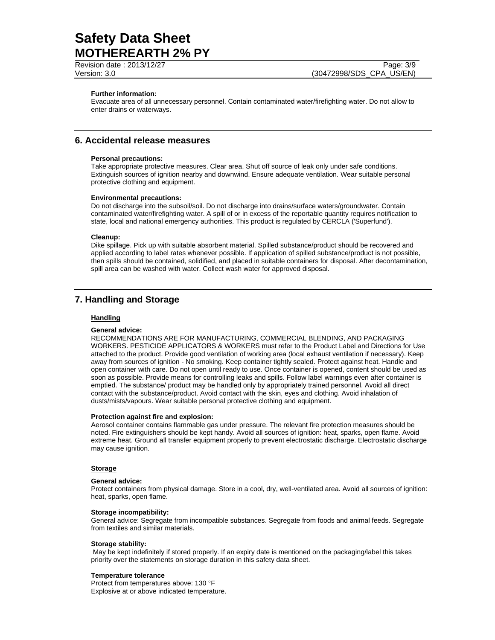Revision date : 2013/12/27 Page: 3/9 Version: 3.0 (30472998/SDS\_CPA\_US/EN)

### **Further information:**

Evacuate area of all unnecessary personnel. Contain contaminated water/firefighting water. Do not allow to enter drains or waterways.

## **6. Accidental release measures**

### **Personal precautions:**

Take appropriate protective measures. Clear area. Shut off source of leak only under safe conditions. Extinguish sources of ignition nearby and downwind. Ensure adequate ventilation. Wear suitable personal protective clothing and equipment.

### **Environmental precautions:**

Do not discharge into the subsoil/soil. Do not discharge into drains/surface waters/groundwater. Contain contaminated water/firefighting water. A spill of or in excess of the reportable quantity requires notification to state, local and national emergency authorities. This product is regulated by CERCLA ('Superfund').

### **Cleanup:**

Dike spillage. Pick up with suitable absorbent material. Spilled substance/product should be recovered and applied according to label rates whenever possible. If application of spilled substance/product is not possible, then spills should be contained, solidified, and placed in suitable containers for disposal. After decontamination, spill area can be washed with water. Collect wash water for approved disposal.

# **7. Handling and Storage**

### **Handling**

### **General advice:**

RECOMMENDATIONS ARE FOR MANUFACTURING, COMMERCIAL BLENDING, AND PACKAGING WORKERS. PESTICIDE APPLICATORS & WORKERS must refer to the Product Label and Directions for Use attached to the product. Provide good ventilation of working area (local exhaust ventilation if necessary). Keep away from sources of ignition - No smoking. Keep container tightly sealed. Protect against heat. Handle and open container with care. Do not open until ready to use. Once container is opened, content should be used as soon as possible. Provide means for controlling leaks and spills. Follow label warnings even after container is emptied. The substance/ product may be handled only by appropriately trained personnel. Avoid all direct contact with the substance/product. Avoid contact with the skin, eyes and clothing. Avoid inhalation of dusts/mists/vapours. Wear suitable personal protective clothing and equipment.

### **Protection against fire and explosion:**

Aerosol container contains flammable gas under pressure. The relevant fire protection measures should be noted. Fire extinguishers should be kept handy. Avoid all sources of ignition: heat, sparks, open flame. Avoid extreme heat. Ground all transfer equipment properly to prevent electrostatic discharge. Electrostatic discharge may cause ignition.

### **Storage**

### **General advice:**

Protect containers from physical damage. Store in a cool, dry, well-ventilated area. Avoid all sources of ignition: heat, sparks, open flame.

### **Storage incompatibility:**

General advice: Segregate from incompatible substances. Segregate from foods and animal feeds. Segregate from textiles and similar materials.

### **Storage stability:**

 May be kept indefinitely if stored properly. If an expiry date is mentioned on the packaging/label this takes priority over the statements on storage duration in this safety data sheet.

### **Temperature tolerance**

Protect from temperatures above: 130 °F Explosive at or above indicated temperature.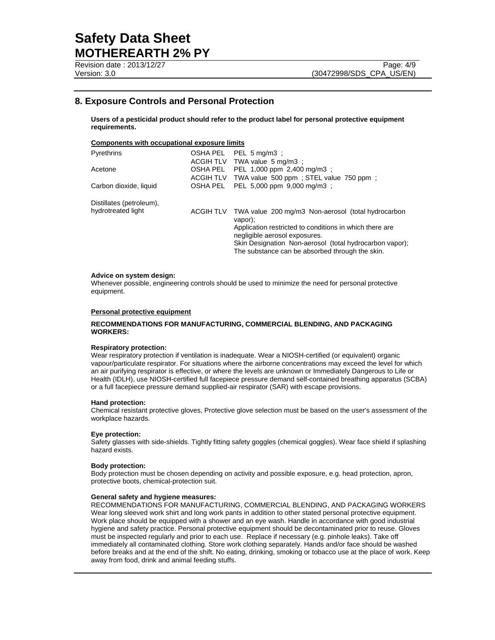# **8. Exposure Controls and Personal Protection**

**Users of a pesticidal product should refer to the product label for personal protective equipment requirements.** 

## **Components with occupational exposure limits**

| PEL 1,000 ppm 2,400 mg/m3 :<br>ACGIH TLV TWA value 500 ppm; STEL value 750 ppm; |
|---------------------------------------------------------------------------------|
| PEL 5,000 ppm 9,000 mg/m3 ;                                                     |
|                                                                                 |
| TWA value 200 mg/m3 Non-aerosol (total hydrocarbon                              |
| Application restricted to conditions in which there are                         |
| Skin Designation Non-aerosol (total hydrocarbon vapor);                         |
|                                                                                 |

### **Advice on system design:**

Whenever possible, engineering controls should be used to minimize the need for personal protective equipment.

### **Personal protective equipment**

### **RECOMMENDATIONS FOR MANUFACTURING, COMMERCIAL BLENDING, AND PACKAGING WORKERS:**

### **Respiratory protection:**

Wear respiratory protection if ventilation is inadequate. Wear a NIOSH-certified (or equivalent) organic vapour/particulate respirator. For situations where the airborne concentrations may exceed the level for which an air purifying respirator is effective, or where the levels are unknown or Immediately Dangerous to Life or Health (IDLH), use NIOSH-certified full facepiece pressure demand self-contained breathing apparatus (SCBA) or a full facepiece pressure demand supplied-air respirator (SAR) with escape provisions.

### **Hand protection:**

Chemical resistant protective gloves, Protective glove selection must be based on the user's assessment of the workplace hazards.

### **Eye protection:**

Safety glasses with side-shields. Tightly fitting safety goggles (chemical goggles). Wear face shield if splashing hazard exists.

### **Body protection:**

Body protection must be chosen depending on activity and possible exposure, e.g. head protection, apron, protective boots, chemical-protection suit.

### **General safety and hygiene measures:**

RECOMMENDATIONS FOR MANUFACTURING, COMMERCIAL BLENDING, AND PACKAGING WORKERS Wear long sleeved work shirt and long work pants in addition to other stated personal protective equipment. Work place should be equipped with a shower and an eye wash. Handle in accordance with good industrial hygiene and safety practice. Personal protective equipment should be decontaminated prior to reuse. Gloves must be inspected regularly and prior to each use. Replace if necessary (e.g. pinhole leaks). Take off immediately all contaminated clothing. Store work clothing separately. Hands and/or face should be washed before breaks and at the end of the shift. No eating, drinking, smoking or tobacco use at the place of work. Keep away from food, drink and animal feeding stuffs.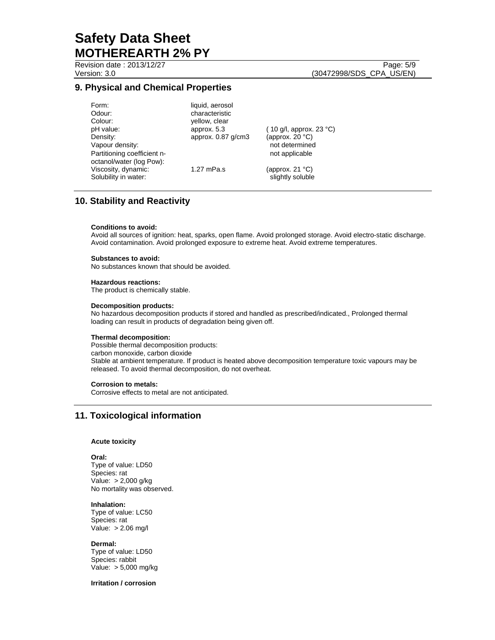Revision date : 2013/12/27 Page: 5/9

# **9. Physical and Chemical Properties**

| Form:                       | liquid, aerosol      |                                   |
|-----------------------------|----------------------|-----------------------------------|
| Odour:                      | characteristic       |                                   |
| Colour:                     | yellow, clear        |                                   |
| pH value:                   | approx. 5.3          | (10 g/l, approx. 23 $^{\circ}$ C) |
| Density:                    | approx. $0.87$ g/cm3 | (approx. $20 °C$ )                |
| Vapour density:             |                      | not determined                    |
| Partitioning coefficient n- |                      | not applicable                    |
| octanol/water (log Pow):    |                      |                                   |
| Viscosity, dynamic:         | 1.27 mPa.s           | (approx. 21 $°C$ )                |
| Solubility in water:        |                      | slightly soluble                  |

# **10. Stability and Reactivity**

### **Conditions to avoid:**

Avoid all sources of ignition: heat, sparks, open flame. Avoid prolonged storage. Avoid electro-static discharge. Avoid contamination. Avoid prolonged exposure to extreme heat. Avoid extreme temperatures.

### **Substances to avoid:**

No substances known that should be avoided.

### **Hazardous reactions:**

The product is chemically stable.

### **Decomposition products:**

No hazardous decomposition products if stored and handled as prescribed/indicated., Prolonged thermal loading can result in products of degradation being given off.

### **Thermal decomposition:**

Possible thermal decomposition products: carbon monoxide, carbon dioxide Stable at ambient temperature. If product is heated above decomposition temperature toxic vapours may be released. To avoid thermal decomposition, do not overheat.

### **Corrosion to metals:**

Corrosive effects to metal are not anticipated.

# **11. Toxicological information**

### **Acute toxicity**

#### **Oral:**

Type of value: LD50 Species: rat Value: > 2,000 g/kg No mortality was observed.

### **Inhalation:**

Type of value: LC50 Species: rat Value: > 2.06 mg/l

### **Dermal:**

Type of value: LD50 Species: rabbit Value: > 5,000 mg/kg

## **Irritation / corrosion**

Version: 3.0 (30472998/SDS\_CPA\_US/EN)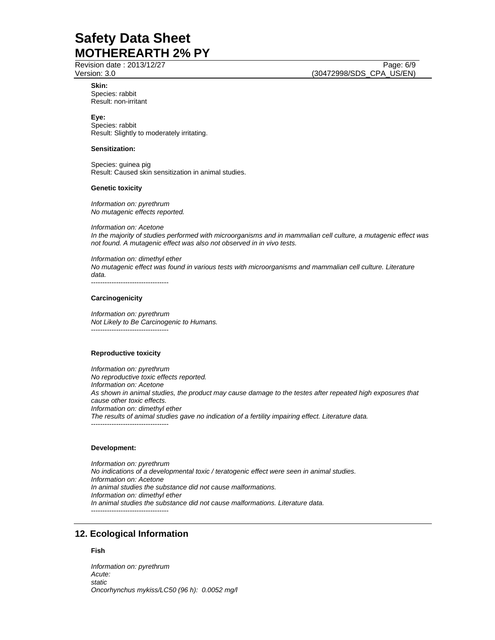Revision date : 2013/12/27 Page: 6/9

Version: 3.0 (30472998/SDS\_CPA\_US/EN)

**Skin:**  Species: rabbit Result: non-irritant

**Eye:** Species: rabbit Result: Slightly to moderately irritating.

## **Sensitization:**

Species: guinea pig Result: Caused skin sensitization in animal studies.

### **Genetic toxicity**

*Information on: pyrethrum No mutagenic effects reported.* 

*Information on: Acetone In the majority of studies performed with microorganisms and in mammalian cell culture, a mutagenic effect was not found. A mutagenic effect was also not observed in in vivo tests.* 

*Information on: dimethyl ether No mutagenic effect was found in various tests with microorganisms and mammalian cell culture. Literature data.*  ----------------------------------

### **Carcinogenicity**

*Information on: pyrethrum Not Likely to Be Carcinogenic to Humans.*  ----------------------------------

### **Reproductive toxicity**

*Information on: pyrethrum No reproductive toxic effects reported. Information on: Acetone As shown in animal studies, the product may cause damage to the testes after repeated high exposures that cause other toxic effects. Information on: dimethyl ether The results of animal studies gave no indication of a fertility impairing effect. Literature data.*  ----------------------------------

### **Development:**

*Information on: pyrethrum No indications of a developmental toxic / teratogenic effect were seen in animal studies. Information on: Acetone In animal studies the substance did not cause malformations. Information on: dimethyl ether In animal studies the substance did not cause malformations. Literature data.*  ----------------------------------

# **12. Ecological Information**

## **Fish**

*Information on: pyrethrum Acute: static Oncorhynchus mykiss/LC50 (96 h): 0.0052 mg/l*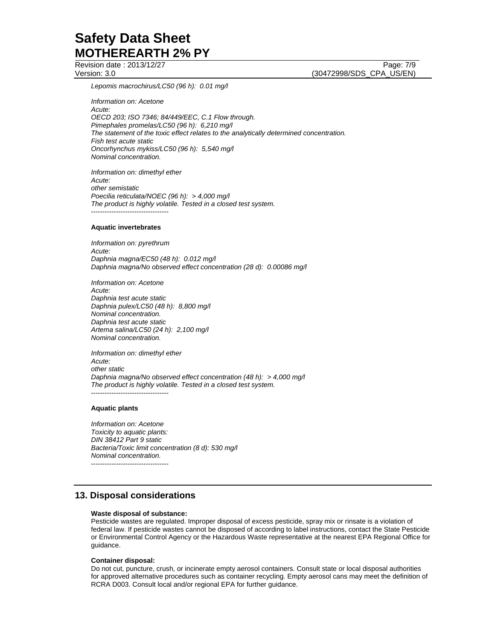Revision date : 2013/12/27 Page: 7/9 Version: 3.0 (30472998/SDS\_CPA\_US/EN)

*Lepomis macrochirus/LC50 (96 h): 0.01 mg/l* 

*Information on: Acetone Acute: OECD 203; ISO 7346; 84/449/EEC, C.1 Flow through. Pimephales promelas/LC50 (96 h): 6,210 mg/l The statement of the toxic effect relates to the analytically determined concentration. Fish test acute static Oncorhynchus mykiss/LC50 (96 h): 5,540 mg/l Nominal concentration.* 

*Information on: dimethyl ether Acute: other semistatic Poecilia reticulata/NOEC (96 h): > 4,000 mg/l The product is highly volatile. Tested in a closed test system.*  ----------------------------------

### **Aquatic invertebrates**

*Information on: pyrethrum Acute: Daphnia magna/EC50 (48 h): 0.012 mg/l Daphnia magna/No observed effect concentration (28 d): 0.00086 mg/l* 

*Information on: Acetone Acute: Daphnia test acute static Daphnia pulex/LC50 (48 h): 8,800 mg/l Nominal concentration. Daphnia test acute static Artema salina/LC50 (24 h): 2,100 mg/l Nominal concentration.* 

*Information on: dimethyl ether Acute: other static Daphnia magna/No observed effect concentration (48 h): > 4,000 mg/l The product is highly volatile. Tested in a closed test system.*  ----------------------------------

### **Aquatic plants**

*Information on: Acetone Toxicity to aquatic plants: DIN 38412 Part 9 static Bacteria/Toxic limit concentration (8 d): 530 mg/l Nominal concentration.*  ----------------------------------

# **13. Disposal considerations**

### **Waste disposal of substance:**

Pesticide wastes are regulated. Improper disposal of excess pesticide, spray mix or rinsate is a violation of federal law. If pesticide wastes cannot be disposed of according to label instructions, contact the State Pesticide or Environmental Control Agency or the Hazardous Waste representative at the nearest EPA Regional Office for guidance.

#### **Container disposal:**

Do not cut, puncture, crush, or incinerate empty aerosol containers. Consult state or local disposal authorities for approved alternative procedures such as container recycling. Empty aerosol cans may meet the definition of RCRA D003. Consult local and/or regional EPA for further guidance.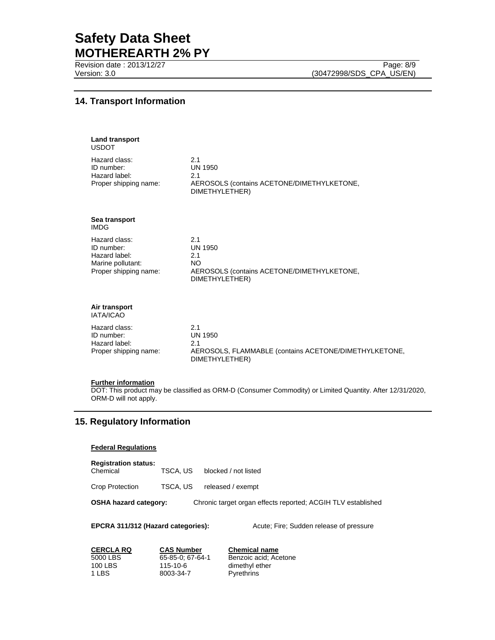Revision date : 2013/12/27 Page: 8/9

# **14. Transport Information**

| <b>Land transport</b><br><b>USDOT</b>                                                      |                                                                                                         |
|--------------------------------------------------------------------------------------------|---------------------------------------------------------------------------------------------------------|
| Hazard class:<br>ID number:<br>Hazard label:<br>Proper shipping name:                      | 2.1<br><b>UN 1950</b><br>2.1<br>AEROSOLS (contains ACETONE/DIMETHYLKETONE,<br>DIMETHYLETHER)            |
| Sea transport<br><b>IMDG</b>                                                               |                                                                                                         |
| Hazard class:<br>ID number:<br>Hazard label:<br>Marine pollutant:<br>Proper shipping name: | 2.1<br><b>UN 1950</b><br>2.1<br>NO.<br>AEROSOLS (contains ACETONE/DIMETHYLKETONE,<br>DIMETHYLETHER)     |
| Air transport<br>IATA/ICAO                                                                 |                                                                                                         |
| Hazard class:<br>ID number:<br>Hazard label:<br>Proper shipping name:                      | 2.1<br><b>UN 1950</b><br>2.1<br>AEROSOLS, FLAMMABLE (contains ACETONE/DIMETHYLKETONE,<br>DIMETHYLETHER) |

## **Further information**

DOT: This product may be classified as ORM-D (Consumer Commodity) or Limited Quantity. After 12/31/2020, ORM-D will not apply.

# **15. Regulatory Information**

## **Federal Regulations**

Chemical TSCA, US blocked / not listed

Crop Protection TSCA, US released / exempt

# **OSHA hazard category:** Chronic target organ effects reported; ACGIH TLV established

### **EPCRA 311/312 (Hazard categories):** Acute; Fire; Sudden release of pressure

| <b>CERCLA RQ</b> | <b>CAS Number</b> | <b>Chemical name</b>  |
|------------------|-------------------|-----------------------|
| 5000 LBS         | 65-85-0: 67-64-1  | Benzoic acid: Acetone |
| 100 LBS          | 115-10-6          | dimethyl ether        |
| 1 LBS            | 8003-34-7         | Pyrethrins            |